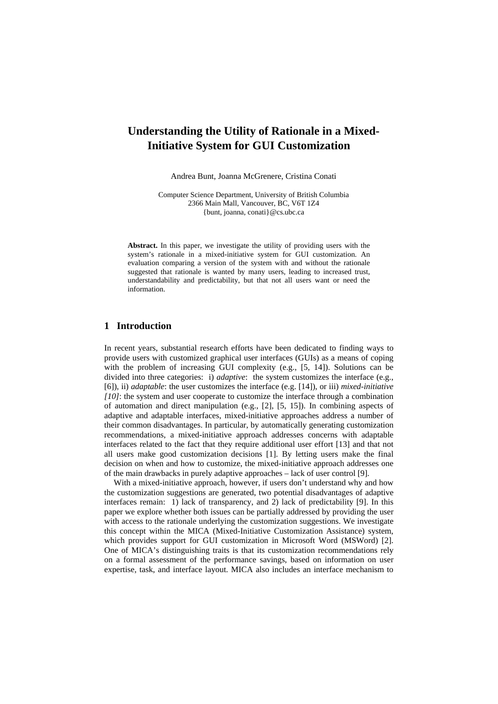# **Understanding the Utility of Rationale in a Mixed-Initiative System for GUI Customization**

Andrea Bunt, Joanna McGrenere, Cristina Conati

Computer Science Department, University of British Columbia 2366 Main Mall, Vancouver, BC, V6T 1Z4 {bunt, joanna, conati}@cs.ubc.ca

**Abstract.** In this paper, we investigate the utility of providing users with the system's rationale in a mixed-initiative system for GUI customization. An evaluation comparing a version of the system with and without the rationale suggested that rationale is wanted by many users, leading to increased trust, understandability and predictability, but that not all users want or need the information.

# **1 Introduction**

In recent years, substantial research efforts have been dedicated to finding ways to provide users with customized graphical user interfaces (GUIs) as a means of coping with the problem of increasing GUI complexity (e.g., [5, 14]). Solutions can be divided into three categories: i) *adaptive*: the system customizes the interface (e.g., [6]), ii) *adaptable*: the user customizes the interface (e.g. [14]), or iii) *mixed-initiative [10]*: the system and user cooperate to customize the interface through a combination of automation and direct manipulation (e.g., [2], [5, 15]). In combining aspects of adaptive and adaptable interfaces, mixed-initiative approaches address a number of their common disadvantages. In particular, by automatically generating customization recommendations, a mixed-initiative approach addresses concerns with adaptable interfaces related to the fact that they require additional user effort [13] and that not all users make good customization decisions [1]. By letting users make the final decision on when and how to customize, the mixed-initiative approach addresses one of the main drawbacks in purely adaptive approaches – lack of user control [9].

With a mixed-initiative approach, however, if users don't understand why and how the customization suggestions are generated, two potential disadvantages of adaptive interfaces remain: 1) lack of transparency, and 2) lack of predictability [9]. In this paper we explore whether both issues can be partially addressed by providing the user with access to the rationale underlying the customization suggestions. We investigate this concept within the MICA (Mixed-Initiative Customization Assistance) system, which provides support for GUI customization in Microsoft Word (MSWord) [2]. One of MICA's distinguishing traits is that its customization recommendations rely on a formal assessment of the performance savings, based on information on user expertise, task, and interface layout. MICA also includes an interface mechanism to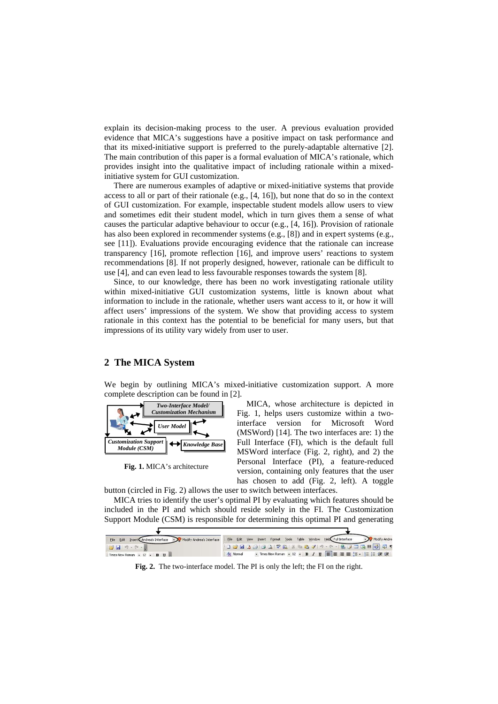explain its decision-making process to the user. A previous evaluation provided evidence that MICA's suggestions have a positive impact on task performance and that its mixed-initiative support is preferred to the purely-adaptable alternative [2]. The main contribution of this paper is a formal evaluation of MICA's rationale, which provides insight into the qualitative impact of including rationale within a mixedinitiative system for GUI customization.

There are numerous examples of adaptive or mixed-initiative systems that provide access to all or part of their rationale (e.g., [4, 16]), but none that do so in the context of GUI customization. For example, inspectable student models allow users to view and sometimes edit their student model, which in turn gives them a sense of what causes the particular adaptive behaviour to occur (e.g., [4, 16]). Provision of rationale has also been explored in recommender systems (e.g., [8]) and in expert systems (e.g., see [11]). Evaluations provide encouraging evidence that the rationale can increase transparency [16], promote reflection [16], and improve users' reactions to system recommendations [8]. If not properly designed, however, rationale can be difficult to use [4], and can even lead to less favourable responses towards the system [8].

Since, to our knowledge, there has been no work investigating rationale utility within mixed-initiative GUI customization systems, little is known about what information to include in the rationale, whether users want access to it, or how it will affect users' impressions of the system. We show that providing access to system rationale in this context has the potential to be beneficial for many users, but that impressions of its utility vary widely from user to user.

## **2 The MICA System**

We begin by outlining MICA's mixed-initiative customization support. A more complete description can be found in [2].



**Fig. 1.** MICA's architecture

MICA, whose architecture is depicted in Fig. 1, helps users customize within a twointerface version for Microsoft Word (MSWord) [14]. The two interfaces are: 1) the Full Interface (FI), which is the default full MSWord interface (Fig. 2, right), and 2) the Personal Interface (PI), a feature-reduced version, containing only features that the user has chosen to add (Fig. 2, left). A toggle

button (circled in Fig. 2) allows the user to switch between interfaces.

MICA tries to identify the user's optimal PI by evaluating which features should be included in the PI and which should reside solely in the FI. The Customization Support Module (CSM) is responsible for determining this optimal PI and generating

| Edit Insert Andrea's Interface - Modify Andrea's Interface<br>Eile |           |  |  |  | Eile Edit View Insert Format Tools Table Window Help Full Interface | - Modify Andre                    |
|--------------------------------------------------------------------|-----------|--|--|--|---------------------------------------------------------------------|-----------------------------------|
| $-1$ $-1$ $-1$                                                     |           |  |  |  |                                                                     | <b>DBBBBBCTRINDBJI-1-87051071</b> |
| Times New Roman - 12 - B U                                         | A4 Normal |  |  |  |                                                                     |                                   |

**Fig. 2.** The two-interface model. The PI is only the left; the FI on the right.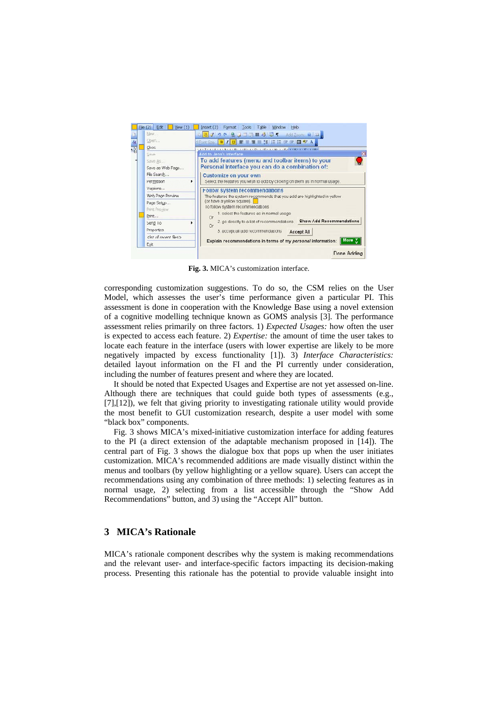

**Fig. 3.** MICA's customization interface.

corresponding customization suggestions. To do so, the CSM relies on the User Model, which assesses the user's time performance given a particular PI. This assessment is done in cooperation with the Knowledge Base using a novel extension of a cognitive modelling technique known as GOMS analysis [3]. The performance assessment relies primarily on three factors. 1) *Expected Usages:* how often the user is expected to access each feature. 2) *Expertise:* the amount of time the user takes to locate each feature in the interface (users with lower expertise are likely to be more negatively impacted by excess functionality [1]). 3) *Interface Characteristics:*  detailed layout information on the FI and the PI currently under consideration, including the number of features present and where they are located.

It should be noted that Expected Usages and Expertise are not yet assessed on-line. Although there are techniques that could guide both types of assessments (e.g., [7],[12]), we felt that giving priority to investigating rationale utility would provide the most benefit to GUI customization research, despite a user model with some "black box" components.

Fig. 3 shows MICA's mixed-initiative customization interface for adding features to the PI (a direct extension of the adaptable mechanism proposed in [14]). The central part of Fig. 3 shows the dialogue box that pops up when the user initiates customization. MICA's recommended additions are made visually distinct within the menus and toolbars (by yellow highlighting or a yellow square). Users can accept the recommendations using any combination of three methods: 1) selecting features as in normal usage, 2) selecting from a list accessible through the "Show Add Recommendations" button, and 3) using the "Accept All" button.

## **3 MICA's Rationale**

MICA's rationale component describes why the system is making recommendations and the relevant user- and interface-specific factors impacting its decision-making process. Presenting this rationale has the potential to provide valuable insight into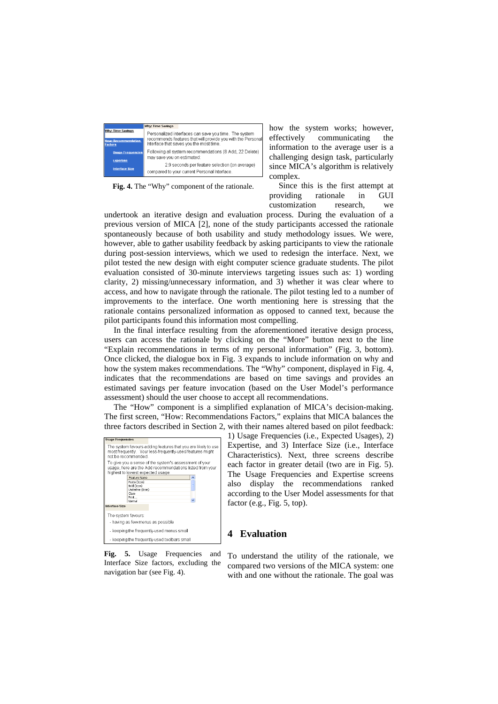|                                              | <b>Why: Time Savings</b>                                                                               |
|----------------------------------------------|--------------------------------------------------------------------------------------------------------|
| <b>Why: Time Savings</b>                     | Personalized interfaces can save you time. The system                                                  |
| <b>How: Recommendation</b><br><b>Factors</b> | recommends features that will provide you with the Personal<br>Interface that saves you the most time. |
| <b>Usage Frequencies</b>                     | Following all system recommendations (8 Add, 22 Delete)<br>may save you on estimated:                  |
| <b>Expertise</b><br><b>Interface Size</b>    | 2.9 seconds per feature selection (on average)<br>compared to your current Personal Interface.         |

**Fig. 4.** The "Why" component of the rationale.

how the system works; however, effectively communicating the information to the average user is a challenging design task, particularly since MICA's algorithm is relatively complex.

Since this is the first attempt at providing rationale in GUI customization research, we

undertook an iterative design and evaluation process. During the evaluation of a previous version of MICA [2], none of the study participants accessed the rationale spontaneously because of both usability and study methodology issues. We were, however, able to gather usability feedback by asking participants to view the rationale during post-session interviews, which we used to redesign the interface. Next, we pilot tested the new design with eight computer science graduate students. The pilot evaluation consisted of 30-minute interviews targeting issues such as: 1) wording clarity, 2) missing/unnecessary information, and 3) whether it was clear where to access, and how to navigate through the rationale. The pilot testing led to a number of improvements to the interface. One worth mentioning here is stressing that the rationale contains personalized information as opposed to canned text, because the pilot participants found this information most compelling.

In the final interface resulting from the aforementioned iterative design process, users can access the rationale by clicking on the "More" button next to the line "Explain recommendations in terms of my personal information" (Fig. 3, bottom). Once clicked, the dialogue box in Fig. 3 expands to include information on why and how the system makes recommendations. The "Why" component, displayed in Fig. 4, indicates that the recommendations are based on time savings and provides an estimated savings per feature invocation (based on the User Model's performance assessment) should the user choose to accept all recommendations.

The "How" component is a simplified explanation of MICA's decision-making. The first screen, "How: Recommendations Factors," explains that MICA balances the three factors described in Section 2, with their names altered based on pilot feedback:

| <b>Usage Frequencies</b>                                                                                                                         |                                                                                                                                                         |  |  |  |  |
|--------------------------------------------------------------------------------------------------------------------------------------------------|---------------------------------------------------------------------------------------------------------------------------------------------------------|--|--|--|--|
| The system favours adding features that you are likely to use<br>most frequently. Your less-frequently-used features might<br>not be recommended |                                                                                                                                                         |  |  |  |  |
|                                                                                                                                                  | To give you a sense of the system's assessment of your<br>usage, here are the Add recommendations listed from your<br>highest to lowest expected usage: |  |  |  |  |
|                                                                                                                                                  | Feature Name                                                                                                                                            |  |  |  |  |
|                                                                                                                                                  | Paste (Icon)                                                                                                                                            |  |  |  |  |
|                                                                                                                                                  | Bold (Icon)                                                                                                                                             |  |  |  |  |
|                                                                                                                                                  | Underline (Icon)<br>Close                                                                                                                               |  |  |  |  |
|                                                                                                                                                  | Print                                                                                                                                                   |  |  |  |  |
|                                                                                                                                                  | Normal                                                                                                                                                  |  |  |  |  |
| Interface Size                                                                                                                                   |                                                                                                                                                         |  |  |  |  |
| The system favours:                                                                                                                              |                                                                                                                                                         |  |  |  |  |
| - having as few menus as possible                                                                                                                |                                                                                                                                                         |  |  |  |  |
| - keeping the frequently-used menus small                                                                                                        |                                                                                                                                                         |  |  |  |  |
|                                                                                                                                                  | - keeping the frequently-used toolbars small                                                                                                            |  |  |  |  |

**Fig. 5.** Usage Frequencies and Interface Size factors, excluding the navigation bar (see Fig. 4).

1) Usage Frequencies (i.e., Expected Usages), 2) Expertise, and 3) Interface Size (i.e., Interface Characteristics). Next, three screens describe each factor in greater detail (two are in Fig. 5). The Usage Frequencies and Expertise screens also display the recommendations ranked according to the User Model assessments for that factor (e.g., Fig. 5, top).

## **4 Evaluation**

To understand the utility of the rationale, we compared two versions of the MICA system: one with and one without the rationale. The goal was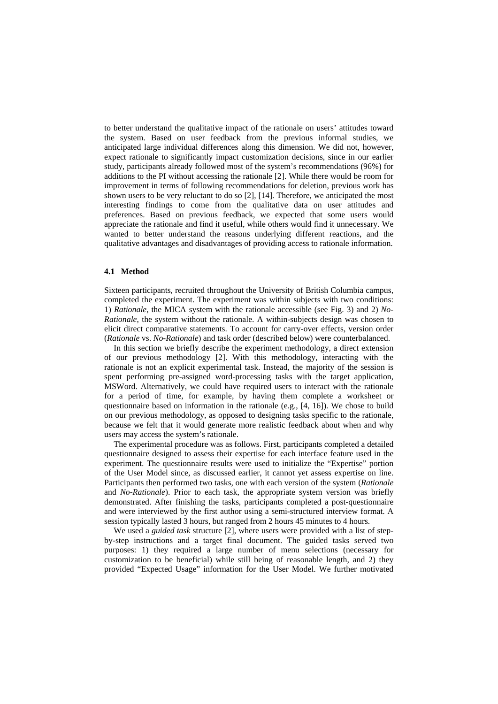to better understand the qualitative impact of the rationale on users' attitudes toward the system. Based on user feedback from the previous informal studies, we anticipated large individual differences along this dimension. We did not, however, expect rationale to significantly impact customization decisions, since in our earlier study, participants already followed most of the system's recommendations (96%) for additions to the PI without accessing the rationale [2]. While there would be room for improvement in terms of following recommendations for deletion, previous work has shown users to be very reluctant to do so [2], [14]. Therefore, we anticipated the most interesting findings to come from the qualitative data on user attitudes and preferences. Based on previous feedback, we expected that some users would appreciate the rationale and find it useful, while others would find it unnecessary. We wanted to better understand the reasons underlying different reactions, and the qualitative advantages and disadvantages of providing access to rationale information.

#### **4.1 Method**

Sixteen participants, recruited throughout the University of British Columbia campus, completed the experiment. The experiment was within subjects with two conditions: 1) *Rationale*, the MICA system with the rationale accessible (see Fig. 3) and 2) *No-Rationale*, the system without the rationale. A within-subjects design was chosen to elicit direct comparative statements. To account for carry-over effects, version order (*Rationale* vs. *No-Rationale*) and task order (described below) were counterbalanced.

In this section we briefly describe the experiment methodology, a direct extension of our previous methodology [2]. With this methodology, interacting with the rationale is not an explicit experimental task. Instead, the majority of the session is spent performing pre-assigned word-processing tasks with the target application, MSWord. Alternatively, we could have required users to interact with the rationale for a period of time, for example, by having them complete a worksheet or questionnaire based on information in the rationale (e.g., [4, 16]). We chose to build on our previous methodology, as opposed to designing tasks specific to the rationale, because we felt that it would generate more realistic feedback about when and why users may access the system's rationale.

The experimental procedure was as follows. First, participants completed a detailed questionnaire designed to assess their expertise for each interface feature used in the experiment. The questionnaire results were used to initialize the "Expertise" portion of the User Model since, as discussed earlier, it cannot yet assess expertise on line. Participants then performed two tasks, one with each version of the system (*Rationale* and *No-Rationale*). Prior to each task, the appropriate system version was briefly demonstrated. After finishing the tasks, participants completed a post-questionnaire and were interviewed by the first author using a semi-structured interview format. A session typically lasted 3 hours, but ranged from 2 hours 45 minutes to 4 hours.

We used a *guided task* structure [2], where users were provided with a list of stepby-step instructions and a target final document. The guided tasks served two purposes: 1) they required a large number of menu selections (necessary for customization to be beneficial) while still being of reasonable length, and 2) they provided "Expected Usage" information for the User Model. We further motivated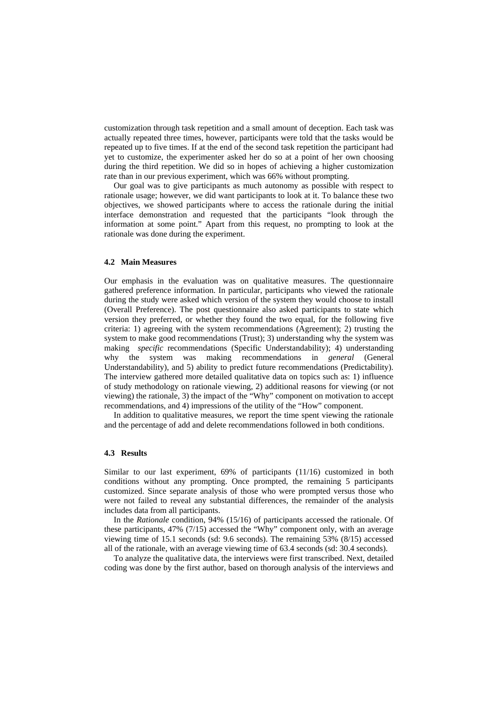customization through task repetition and a small amount of deception. Each task was actually repeated three times, however, participants were told that the tasks would be repeated up to five times. If at the end of the second task repetition the participant had yet to customize, the experimenter asked her do so at a point of her own choosing during the third repetition. We did so in hopes of achieving a higher customization rate than in our previous experiment, which was 66% without prompting.

Our goal was to give participants as much autonomy as possible with respect to rationale usage; however, we did want participants to look at it. To balance these two objectives, we showed participants where to access the rationale during the initial interface demonstration and requested that the participants "look through the information at some point." Apart from this request, no prompting to look at the rationale was done during the experiment.

#### **4.2 Main Measures**

Our emphasis in the evaluation was on qualitative measures. The questionnaire gathered preference information. In particular, participants who viewed the rationale during the study were asked which version of the system they would choose to install (Overall Preference). The post questionnaire also asked participants to state which version they preferred, or whether they found the two equal, for the following five criteria: 1) agreeing with the system recommendations (Agreement); 2) trusting the system to make good recommendations (Trust); 3) understanding why the system was making *specific* recommendations (Specific Understandability); 4) understanding why the system was making recommendations in *general* (General Understandability), and 5) ability to predict future recommendations (Predictability). The interview gathered more detailed qualitative data on topics such as: 1) influence of study methodology on rationale viewing, 2) additional reasons for viewing (or not viewing) the rationale, 3) the impact of the "Why" component on motivation to accept recommendations, and 4) impressions of the utility of the "How" component.

In addition to qualitative measures, we report the time spent viewing the rationale and the percentage of add and delete recommendations followed in both conditions.

#### **4.3 Results**

Similar to our last experiment, 69% of participants (11/16) customized in both conditions without any prompting. Once prompted, the remaining 5 participants customized. Since separate analysis of those who were prompted versus those who were not failed to reveal any substantial differences, the remainder of the analysis includes data from all participants.

In the *Rationale* condition, 94% (15/16) of participants accessed the rationale. Of these participants, 47% (7/15) accessed the "Why" component only, with an average viewing time of 15.1 seconds (sd: 9.6 seconds). The remaining 53% (8/15) accessed all of the rationale, with an average viewing time of 63.4 seconds (sd: 30.4 seconds).

To analyze the qualitative data, the interviews were first transcribed. Next, detailed coding was done by the first author, based on thorough analysis of the interviews and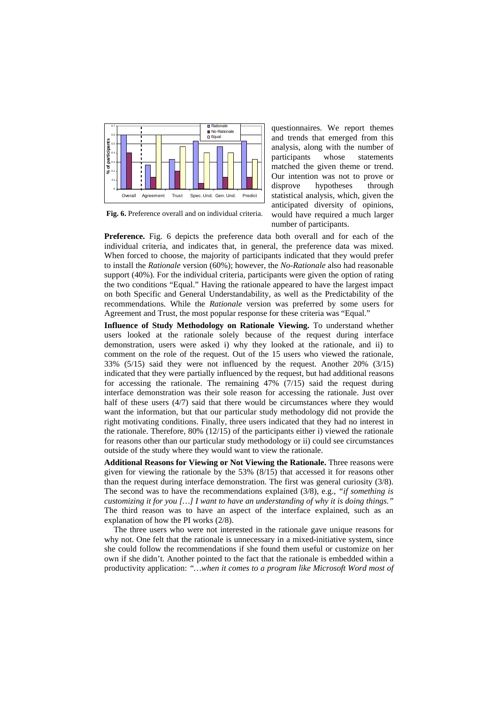

**Fig. 6.** Preference overall and on individual criteria.

questionnaires. We report themes and trends that emerged from this analysis, along with the number of participants whose statements matched the given theme or trend. Our intention was not to prove or disprove hypotheses through statistical analysis, which, given the anticipated diversity of opinions, would have required a much larger number of participants.

**Preference.** Fig. 6 depicts the preference data both overall and for each of the individual criteria, and indicates that, in general, the preference data was mixed. When forced to choose, the majority of participants indicated that they would prefer to install the *Rationale* version (60%); however, the *No-Rationale* also had reasonable support (40%). For the individual criteria, participants were given the option of rating the two conditions "Equal." Having the rationale appeared to have the largest impact on both Specific and General Understandability, as well as the Predictability of the recommendations. While the *Rationale* version was preferred by some users for Agreement and Trust, the most popular response for these criteria was "Equal."

**Influence of Study Methodology on Rationale Viewing.** To understand whether users looked at the rationale solely because of the request during interface demonstration, users were asked i) why they looked at the rationale, and ii) to comment on the role of the request. Out of the 15 users who viewed the rationale, 33% (5/15) said they were not influenced by the request. Another 20% (3/15) indicated that they were partially influenced by the request, but had additional reasons for accessing the rationale. The remaining 47% (7/15) said the request during interface demonstration was their sole reason for accessing the rationale. Just over half of these users (4/7) said that there would be circumstances where they would want the information, but that our particular study methodology did not provide the right motivating conditions. Finally, three users indicated that they had no interest in the rationale. Therefore,  $80\%$  ( $12/15$ ) of the participants either i) viewed the rationale for reasons other than our particular study methodology or ii) could see circumstances outside of the study where they would want to view the rationale.

**Additional Reasons for Viewing or Not Viewing the Rationale.** Three reasons were given for viewing the rationale by the 53% (8/15) that accessed it for reasons other than the request during interface demonstration. The first was general curiosity (3/8). The second was to have the recommendations explained (3/8), e.g., *"if something is customizing it for you […] I want to have an understanding of why it is doing things."* The third reason was to have an aspect of the interface explained, such as an explanation of how the PI works (2/8).

The three users who were not interested in the rationale gave unique reasons for why not. One felt that the rationale is unnecessary in a mixed-initiative system, since she could follow the recommendations if she found them useful or customize on her own if she didn't. Another pointed to the fact that the rationale is embedded within a productivity application: *"…when it comes to a program like Microsoft Word most of*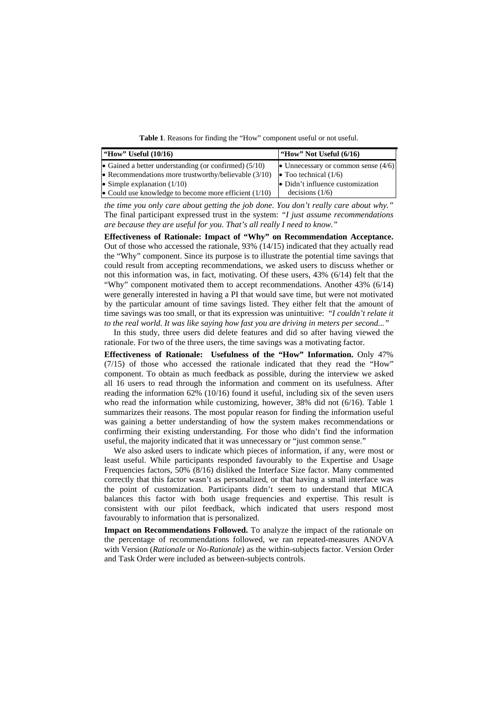Table 1. Reasons for finding the "How" component useful or not useful.

| "How" Useful (10/16)                                    | "How" Not Useful $(6/16)$             |
|---------------------------------------------------------|---------------------------------------|
| • Gained a better understanding (or confirmed) $(5/10)$ | • Unnecessary or common sense $(4/6)$ |
| • Recommendations more trustworthy/believable $(3/10)$  | • Too technical $(1/6)$               |
| • Simple explanation $(1/10)$                           | • Didn't influence customization      |
| • Could use knowledge to become more efficient $(1/10)$ | decisions $(1/6)$                     |

*the time you only care about getting the job done. You don't really care about why."*  The final participant expressed trust in the system: *"I just assume recommendations are because they are useful for you. That's all really I need to know."*

**Effectiveness of Rationale: Impact of "Why" on Recommendation Acceptance.**  Out of those who accessed the rationale, 93% (14/15) indicated that they actually read the "Why" component. Since its purpose is to illustrate the potential time savings that could result from accepting recommendations, we asked users to discuss whether or not this information was, in fact, motivating. Of these users, 43% (6/14) felt that the "Why" component motivated them to accept recommendations. Another 43% (6/14) were generally interested in having a PI that would save time, but were not motivated by the particular amount of time savings listed. They either felt that the amount of time savings was too small, or that its expression was unintuitive: "*I couldn't relate it to the real world. It was like saying how fast you are driving in meters per second..."* 

In this study, three users did delete features and did so after having viewed the rationale. For two of the three users, the time savings was a motivating factor.

**Effectiveness of Rationale: Usefulness of the "How" Information.** Only 47% (7/15) of those who accessed the rationale indicated that they read the "How" component. To obtain as much feedback as possible, during the interview we asked all 16 users to read through the information and comment on its usefulness. After reading the information 62% (10/16) found it useful, including six of the seven users who read the information while customizing, however, 38% did not (6/16). Table 1 summarizes their reasons. The most popular reason for finding the information useful was gaining a better understanding of how the system makes recommendations or confirming their existing understanding. For those who didn't find the information useful, the majority indicated that it was unnecessary or "just common sense."

We also asked users to indicate which pieces of information, if any, were most or least useful. While participants responded favourably to the Expertise and Usage Frequencies factors, 50% (8/16) disliked the Interface Size factor. Many commented correctly that this factor wasn't as personalized, or that having a small interface was the point of customization. Participants didn't seem to understand that MICA balances this factor with both usage frequencies and expertise. This result is consistent with our pilot feedback, which indicated that users respond most favourably to information that is personalized.

**Impact on Recommendations Followed.** To analyze the impact of the rationale on the percentage of recommendations followed, we ran repeated-measures ANOVA with Version (*Rationale* or *No-Rationale*) as the within-subjects factor. Version Order and Task Order were included as between-subjects controls.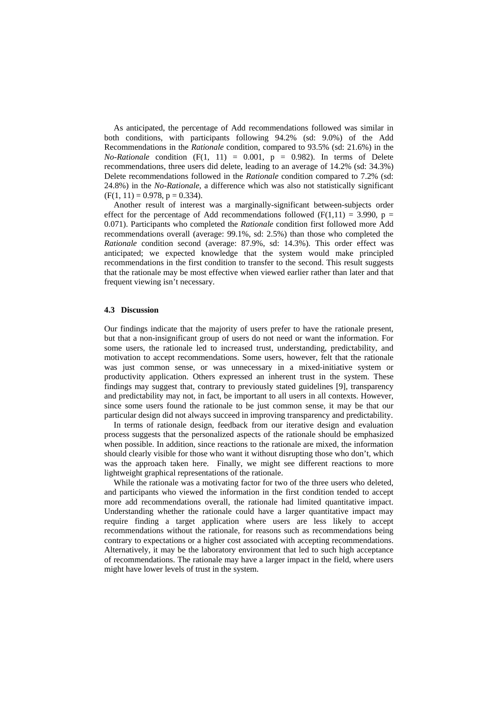As anticipated, the percentage of Add recommendations followed was similar in both conditions, with participants following 94.2% (sd: 9.0%) of the Add Recommendations in the *Rationale* condition, compared to 93.5% (sd: 21.6%) in the  $No-Rational$  condition  $(F(1, 11) = 0.001, p = 0.982)$ . In terms of Delete recommendations, three users did delete, leading to an average of 14.2% (sd: 34.3%) Delete recommendations followed in the *Rationale* condition compared to 7.2% (sd: 24.8%) in the *No-Rationale*, a difference which was also not statistically significant  $(F(1, 11) = 0.978, p = 0.334).$ 

Another result of interest was a marginally-significant between-subjects order effect for the percentage of Add recommendations followed ( $F(1,11) = 3.990$ ,  $p =$ 0.071). Participants who completed the *Rationale* condition first followed more Add recommendations overall (average: 99.1%, sd: 2.5%) than those who completed the *Rationale* condition second (average: 87.9%, sd: 14.3%). This order effect was anticipated; we expected knowledge that the system would make principled recommendations in the first condition to transfer to the second. This result suggests that the rationale may be most effective when viewed earlier rather than later and that frequent viewing isn't necessary.

#### **4.3 Discussion**

Our findings indicate that the majority of users prefer to have the rationale present, but that a non-insignificant group of users do not need or want the information. For some users, the rationale led to increased trust, understanding, predictability, and motivation to accept recommendations. Some users, however, felt that the rationale was just common sense, or was unnecessary in a mixed-initiative system or productivity application. Others expressed an inherent trust in the system. These findings may suggest that, contrary to previously stated guidelines [9], transparency and predictability may not, in fact, be important to all users in all contexts. However, since some users found the rationale to be just common sense, it may be that our particular design did not always succeed in improving transparency and predictability.

In terms of rationale design, feedback from our iterative design and evaluation process suggests that the personalized aspects of the rationale should be emphasized when possible. In addition, since reactions to the rationale are mixed, the information should clearly visible for those who want it without disrupting those who don't, which was the approach taken here. Finally, we might see different reactions to more lightweight graphical representations of the rationale.

While the rationale was a motivating factor for two of the three users who deleted, and participants who viewed the information in the first condition tended to accept more add recommendations overall, the rationale had limited quantitative impact. Understanding whether the rationale could have a larger quantitative impact may require finding a target application where users are less likely to accept recommendations without the rationale, for reasons such as recommendations being contrary to expectations or a higher cost associated with accepting recommendations. Alternatively, it may be the laboratory environment that led to such high acceptance of recommendations. The rationale may have a larger impact in the field, where users might have lower levels of trust in the system.